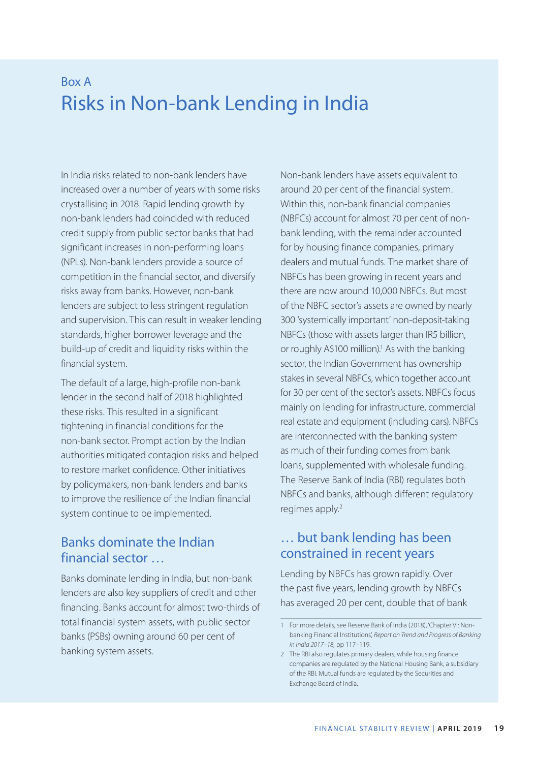# Box A Risks in Non-bank Lending in India

In India risks related to non-bank lenders have increased over a number of years with some risks crystallising in 2018. Rapid lending growth by non-bank lenders had coincided with reduced credit supply from public sector banks that had significant increases in non-performing loans (NPLs). Non-bank lenders provide a source of competition in the financial sector, and diversify risks away from banks. However, non-bank lenders are subject to less stringent regulation and supervision. This can result in weaker lending standards, higher borrower leverage and the build-up of credit and liquidity risks within the financial system.

The default of a large, high-profile non-bank lender in the second half of 2018 highlighted these risks. This resulted in a significant tightening in financial conditions for the non-bank sector. Prompt action by the Indian authorities mitigated contagion risks and helped to restore market confidence. Other initiatives by policymakers, non-bank lenders and banks to improve the resilience of the Indian financial system continue to be implemented.

### Banks dominate the Indian financial sector …

Banks dominate lending in India, but non-bank lenders are also key suppliers of credit and other financing. Banks account for almost two-thirds of total financial system assets, with public sector banks (PSBs) owning around 60 per cent of banking system assets.

Non-bank lenders have assets equivalent to around 20 per cent of the financial system. Within this, non-bank financial companies (NBFCs) account for almost 70 per cent of nonbank lending, with the remainder accounted for by housing finance companies, primary dealers and mutual funds. The market share of NBFCs has been growing in recent years and there are now around 10,000 NBFCs. But most of the NBFC sector's assets are owned by nearly 300 'systemically important' non-deposit-taking NBFCs (those with assets larger than IR5 billion, or roughly A\$100 million).<sup>1</sup> As with the banking sector, the Indian Government has ownership stakes in several NBFCs, which together account for 30 per cent of the sector's assets. NBFCs focus mainly on lending for infrastructure, commercial real estate and equipment (including cars). NBFCs are interconnected with the banking system as much of their funding comes from bank loans, supplemented with wholesale funding. The Reserve Bank of India (RBI) regulates both NBFCs and banks, although different regulatory regimes apply.<sup>2</sup>

### … but bank lending has been constrained in recent years

Lending by NBFCs has grown rapidly. Over the past five years, lending growth by NBFCs has averaged 20 per cent, double that of bank

<sup>1</sup> For more details, see Reserve Bank of India (2018), 'Chapter VI: Nonbanking Financial Institutions', *Report on Trend and Progress of Banking in India 2017–18,* pp 117–119.

<sup>2</sup> The RBI also regulates primary dealers, while housing finance companies are regulated by the National Housing Bank, a subsidiary of the RBI. Mutual funds are regulated by the Securities and Exchange Board of India.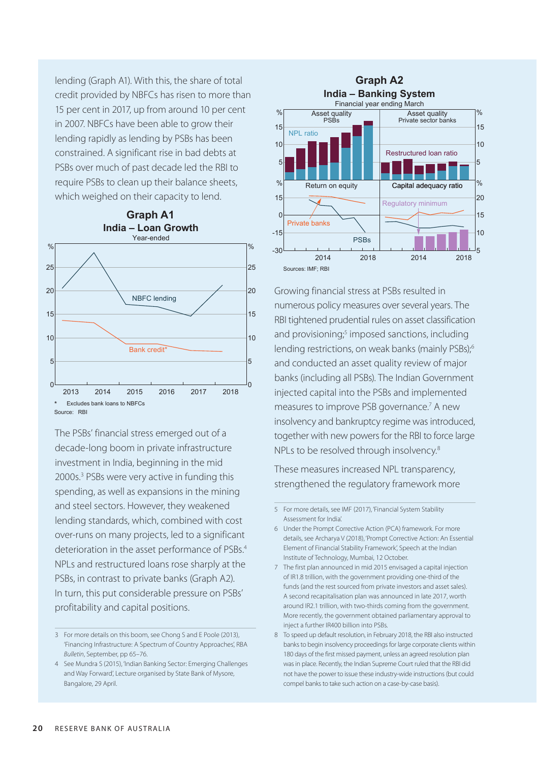lending (Graph A1). With this, the share of total credit provided by NBFCs has risen to more than 15 per cent in 2017, up from around 10 per cent in 2007. NBFCs have been able to grow their lending rapidly as lending by PSBs has been constrained. A significant rise in bad debts at PSBs over much of past decade led the RBI to require PSBs to clean up their balance sheets, which weighed on their capacity to lend.



The PSBs' financial stress emerged out of a decade-long boom in private infrastructure investment in India, beginning in the mid 2000s.3 PSBs were very active in funding this spending, as well as expansions in the mining and steel sectors. However, they weakened lending standards, which, combined with cost over-runs on many projects, led to a significant deterioration in the asset performance of PSBs.<sup>4</sup> NPLs and restructured loans rose sharply at the PSBs, in contrast to private banks (Graph A2). In turn, this put considerable pressure on PSBs' profitability and capital positions.



Growing financial stress at PSBs resulted in numerous policy measures over several years. The RBI tightened prudential rules on asset classification and provisioning;<sup>5</sup> imposed sanctions, including lending restrictions, on weak banks (mainly PSBs);<sup>6</sup> and conducted an asset quality review of major banks (including all PSBs). The Indian Government injected capital into the PSBs and implemented measures to improve PSB governance.<sup>7</sup> A new insolvency and bankruptcy regime was introduced, together with new powers for the RBI to force large NPLs to be resolved through insolvency.<sup>8</sup>

These measures increased NPL transparency, strengthened the regulatory framework more

<sup>3</sup> For more details on this boom, see Chong S and E Poole (2013), 'Financing Infrastructure: A Spectrum of Country Approaches', RBA *Bulletin*, September, pp 65–76.

<sup>4</sup> See Mundra S (2015), 'Indian Banking Sector: Emerging Challenges and Way Forward', Lecture organised by State Bank of Mysore, Bangalore, 29 April.

<sup>5</sup> For more details, see IMF (2017), 'Financial System Stability Assessment for India'.

<sup>6</sup> Under the Prompt Corrective Action (PCA) framework. For more details, see Archarya V (2018), 'Prompt Corrective Action: An Essential Element of Financial Stability Framework', Speech at the Indian Institute of Technology, Mumbai, 12 October.

<sup>7</sup> The first plan announced in mid 2015 envisaged a capital injection of IR1.8 trillion, with the government providing one-third of the funds (and the rest sourced from private investors and asset sales). A second recapitalisation plan was announced in late 2017, worth around IR2.1 trillion, with two-thirds coming from the government. More recently, the government obtained parliamentary approval to inject a further IR400 billion into PSBs.

<sup>8</sup> To speed up default resolution, in February 2018, the RBI also instructed banks to begin insolvency proceedings for large corporate clients within 180 days of the first missed payment, unless an agreed resolution plan was in place. Recently, the Indian Supreme Court ruled that the RBI did not have the power to issue these industry-wide instructions (but could compel banks to take such action on a case-by-case basis).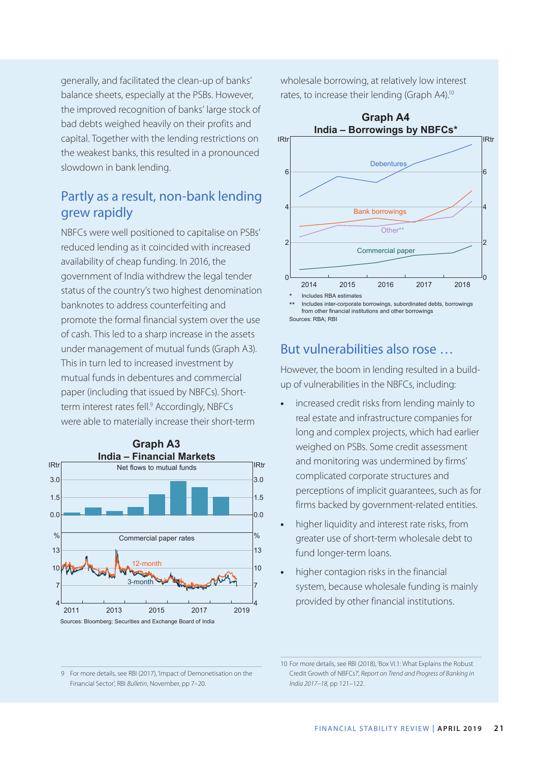generally, and facilitated the clean-up of banks' balance sheets, especially at the PSBs. However, the improved recognition of banks' large stock of bad debts weighed heavily on their profits and capital. Together with the lending restrictions on the weakest banks, this resulted in a pronounced slowdown in bank lending.

# Partly as a result, non-bank lending grew rapidly

NBFCs were well positioned to capitalise on PSBs' reduced lending as it coincided with increased availability of cheap funding. In 2016, the government of India withdrew the legal tender status of the country's two highest denomination banknotes to address counterfeiting and promote the formal financial system over the use of cash. This led to a sharp increase in the assets under management of mutual funds (Graph A3). This in turn led to increased investment by mutual funds in debentures and commercial paper (including that issued by NBFCs). Shortterm interest rates fell.<sup>9</sup> Accordingly, NBFCs were able to materially increase their short-term



wholesale borrowing, at relatively low interest rates, to increase their lending (Graph A4).10



Sources: RBA; RBI

# But vulnerabilities also rose …

However, the boom in lending resulted in a buildup of vulnerabilities in the NBFCs, including:

- **•** increased credit risks from lending mainly to real estate and infrastructure companies for long and complex projects, which had earlier weighed on PSBs. Some credit assessment and monitoring was undermined by firms' complicated corporate structures and perceptions of implicit guarantees, such as for firms backed by government-related entities.
- **•** higher liquidity and interest rate risks, from greater use of short-term wholesale debt to fund longer-term loans.
- **•** higher contagion risks in the financial system, because wholesale funding is mainly provided by other financial institutions.

<sup>9</sup> For more details, see RBI (2017), 'Impact of Demonetisation on the Financial Sector', RBI *Bulletin*, November, pp 7–20.

<sup>10</sup> For more details, see RBI (2018), 'Box VI.1: What Explains the Robust Credit Growth of NBFCs?', *Report on Trend and Progress of Banking in India 2017–18*, pp 121–122.